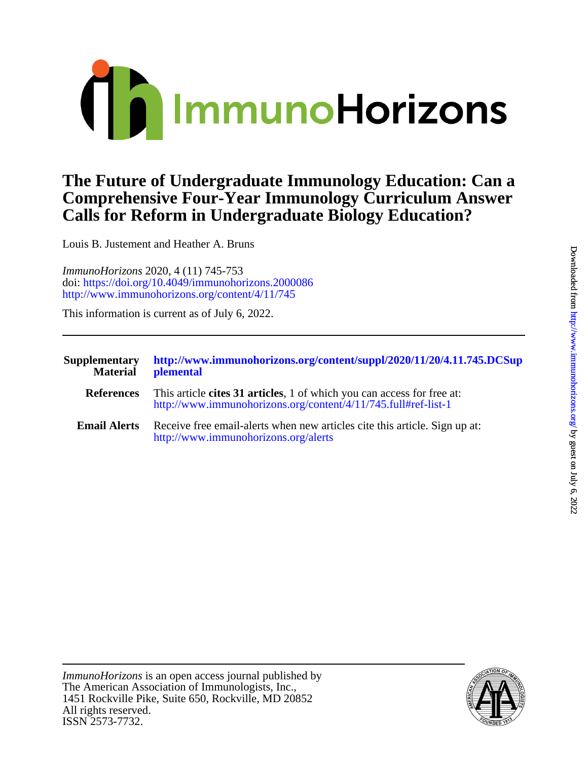

## **Calls for Reform in Undergraduate Biology Education? Comprehensive Four-Year Immunology Curriculum Answer The Future of Undergraduate Immunology Education: Can a**

Louis B. Justement and Heather A. Bruns

<http://www.immunohorizons.org/content/4/11/745> doi:<https://doi.org/10.4049/immunohorizons.2000086> *ImmunoHorizons* 2020, 4 (11) 745-753

This information is current as of July 6, 2022.

| <b>Supplementary</b><br><b>Material</b> | http://www.immunohorizons.org/content/suppl/2020/11/20/4.11.745.DCSup<br>plemental                                                       |
|-----------------------------------------|------------------------------------------------------------------------------------------------------------------------------------------|
| <b>References</b>                       | This article cites 31 articles, 1 of which you can access for free at:<br>http://www.immunohorizons.org/content/4/11/745.full#ref-list-1 |
| <b>Email Alerts</b>                     | Receive free email-alerts when new articles cite this article. Sign up at:<br>http://www.immunohorizons.org/alerts                       |

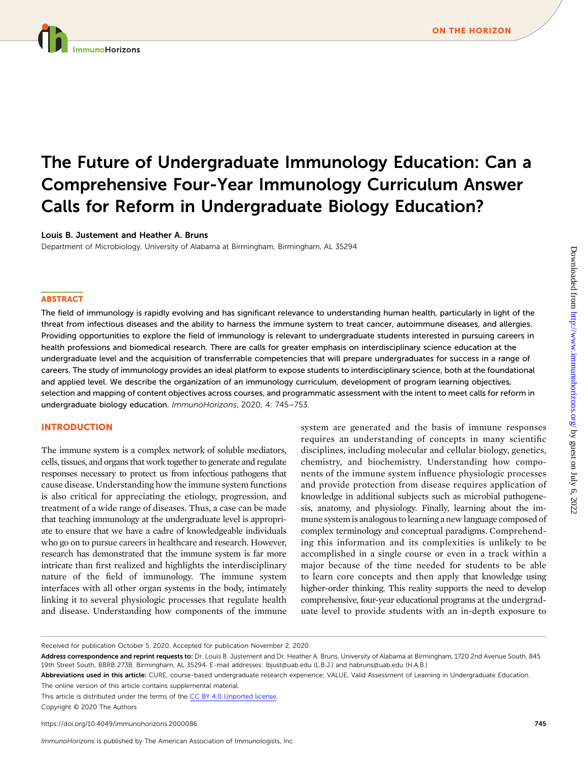# The Future of Undergraduate Immunology Education: Can a Comprehensive Four-Year Immunology Curriculum Answer Calls for Reform in Undergraduate Biology Education?

### Louis B. Justement and Heather A. Bruns

Department of Microbiology, University of Alabama at Birmingham, Birmingham, AL 35294

### ABSTRACT

The field of immunology is rapidly evolving and has significant relevance to understanding human health, particularly in light of the threat from infectious diseases and the ability to harness the immune system to treat cancer, autoimmune diseases, and allergies. Providing opportunities to explore the field of immunology is relevant to undergraduate students interested in pursuing careers in health professions and biomedical research. There are calls for greater emphasis on interdisciplinary science education at the undergraduate level and the acquisition of transferrable competencies that will prepare undergraduates for success in a range of careers. The study of immunology provides an ideal platform to expose students to interdisciplinary science, both at the foundational and applied level. We describe the organization of an immunology curriculum, development of program learning objectives, selection and mapping of content objectives across courses, and programmatic assessment with the intent to meet calls for reform in undergraduate biology education. ImmunoHorizons, 2020, 4: 745–753.

### INTRODUCTION

The immune system is a complex network of soluble mediators, cells, tissues, and organs that work together to generate and regulate responses necessary to protect us from infectious pathogens that cause disease. Understanding how the immune system functions is also critical for appreciating the etiology, progression, and treatment of a wide range of diseases. Thus, a case can be made that teaching immunology at the undergraduate level is appropriate to ensure that we have a cadre of knowledgeable individuals who go on to pursue careers in healthcare and research. However, research has demonstrated that the immune system is far more intricate than first realized and highlights the interdisciplinary nature of the field of immunology. The immune system interfaces with all other organ systems in the body, intimately linking it to several physiologic processes that regulate health and disease. Understanding how components of the immune

system are generated and the basis of immune responses requires an understanding of concepts in many scientific disciplines, including molecular and cellular biology, genetics, chemistry, and biochemistry. Understanding how components of the immune system influence physiologic processes and provide protection from disease requires application of knowledge in additional subjects such as microbial pathogenesis, anatomy, and physiology. Finally, learning about the immune systemis analogous to learning a new language composed of complex terminology and conceptual paradigms. Comprehending this information and its complexities is unlikely to be accomplished in a single course or even in a track within a major because of the time needed for students to be able to learn core concepts and then apply that knowledge using higher-order thinking. This reality supports the need to develop comprehensive, four-year educational programs at the undergraduate level to provide students with an in-depth exposure to

Received for publication October 5, 2020. Accepted for publication November 2, 2020.

Address correspondence and reprint requests to: Dr. Louis B. Justement and Dr. Heather A. Bruns, University of Alabama at Birmingham, 1720 2nd Avenue South, 845 19th Street South, BBRB 273B, Birmingham, AL 35294. E-mail addresses: [lbjust@uab.edu](mailto:lbjust@uab.edu) (L.B.J.) and [habruns@uab.edu](mailto:habruns@uab.edu) (H.A.B.)

Abbreviations used in this article: CURE, course-based undergraduate research experience; VALUE, Valid Assessment of Learning in Undergraduate Education. The online version of this article contains [supplemental material](http://www.immunohorizons.org/lookup/suppl/doi:10.4049/immunohorizons.2000086/-/DCSupplemental).

This article is distributed under the terms of the [CC BY 4.0 Unported license.](https://creativecommons.org/licenses/by/4.0/) Copyright © 2020 The Authors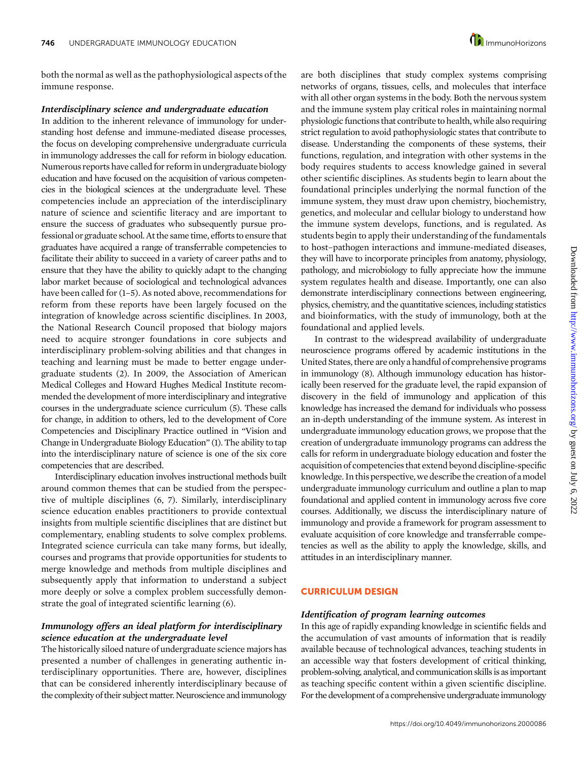both the normal as well as the pathophysiological aspects of the immune response.

### Interdisciplinary science and undergraduate education

In addition to the inherent relevance of immunology for understanding host defense and immune-mediated disease processes, the focus on developing comprehensive undergraduate curricula in immunology addresses the call for reform in biology education. Numerous reports have called for reform in undergraduate biology education and have focused on the acquisition of various competencies in the biological sciences at the undergraduate level. These competencies include an appreciation of the interdisciplinary nature of science and scientific literacy and are important to ensure the success of graduates who subsequently pursue professional or graduate school. At the same time, efforts to ensure that graduates have acquired a range of transferrable competencies to facilitate their ability to succeed in a variety of career paths and to ensure that they have the ability to quickly adapt to the changing labor market because of sociological and technological advances have been called for  $(1-5)$ . As noted above, recommendations for reform from these reports have been largely focused on the integration of knowledge across scientific disciplines. In 2003, the National Research Council proposed that biology majors need to acquire stronger foundations in core subjects and interdisciplinary problem-solving abilities and that changes in teaching and learning must be made to better engage undergraduate students (2). In 2009, the Association of American Medical Colleges and Howard Hughes Medical Institute recommended the development of more interdisciplinary and integrative courses in the undergraduate science curriculum (5). These calls for change, in addition to others, led to the development of Core Competencies and Disciplinary Practice outlined in "Vision and Change in Undergraduate Biology Education" (1). The ability to tap into the interdisciplinary nature of science is one of the six core competencies that are described.

Interdisciplinary education involves instructional methods built around common themes that can be studied from the perspective of multiple disciplines (6, 7). Similarly, interdisciplinary science education enables practitioners to provide contextual insights from multiple scientific disciplines that are distinct but complementary, enabling students to solve complex problems. Integrated science curricula can take many forms, but ideally, courses and programs that provide opportunities for students to merge knowledge and methods from multiple disciplines and subsequently apply that information to understand a subject more deeply or solve a complex problem successfully demonstrate the goal of integrated scientific learning (6).

### Immunology offers an ideal platform for interdisciplinary science education at the undergraduate level

The historically siloed nature of undergraduate science majors has presented a number of challenges in generating authentic interdisciplinary opportunities. There are, however, disciplines that can be considered inherently interdisciplinary because of the complexity of their subject matter. Neuroscience and immunology

are both disciplines that study complex systems comprising networks of organs, tissues, cells, and molecules that interface with all other organ systems in the body. Both the nervous system and the immune system play critical roles in maintaining normal physiologic functions that contribute to health, while also requiring strict regulation to avoid pathophysiologic states that contribute to disease. Understanding the components of these systems, their functions, regulation, and integration with other systems in the body requires students to access knowledge gained in several other scientific disciplines. As students begin to learn about the foundational principles underlying the normal function of the immune system, they must draw upon chemistry, biochemistry, genetics, and molecular and cellular biology to understand how the immune system develops, functions, and is regulated. As students begin to apply their understanding of the fundamentals to host–pathogen interactions and immune-mediated diseases, they will have to incorporate principles from anatomy, physiology, pathology, and microbiology to fully appreciate how the immune system regulates health and disease. Importantly, one can also demonstrate interdisciplinary connections between engineering, physics, chemistry, and the quantitative sciences, including statistics and bioinformatics, with the study of immunology, both at the foundational and applied levels.

In contrast to the widespread availability of undergraduate neuroscience programs offered by academic institutions in the United States, there are only a handful of comprehensive programs in immunology (8). Although immunology education has historically been reserved for the graduate level, the rapid expansion of discovery in the field of immunology and application of this knowledge has increased the demand for individuals who possess an in-depth understanding of the immune system. As interest in undergraduate immunology education grows, we propose that the creation of undergraduate immunology programs can address the calls for reform in undergraduate biology education and foster the acquisition of competencies that extend beyond discipline-specific knowledge. In this perspective, we describe the creation of a model undergraduate immunology curriculum and outline a plan to map foundational and applied content in immunology across five core courses. Additionally, we discuss the interdisciplinary nature of immunology and provide a framework for program assessment to evaluate acquisition of core knowledge and transferrable competencies as well as the ability to apply the knowledge, skills, and attitudes in an interdisciplinary manner.

### CURRICULUM DESIGN

### Identification of program learning outcomes

In this age of rapidly expanding knowledge in scientific fields and the accumulation of vast amounts of information that is readily available because of technological advances, teaching students in an accessible way that fosters development of critical thinking, problem-solving, analytical, and communication skills is as important as teaching specific content within a given scientific discipline. For the development of a comprehensive undergraduate immunology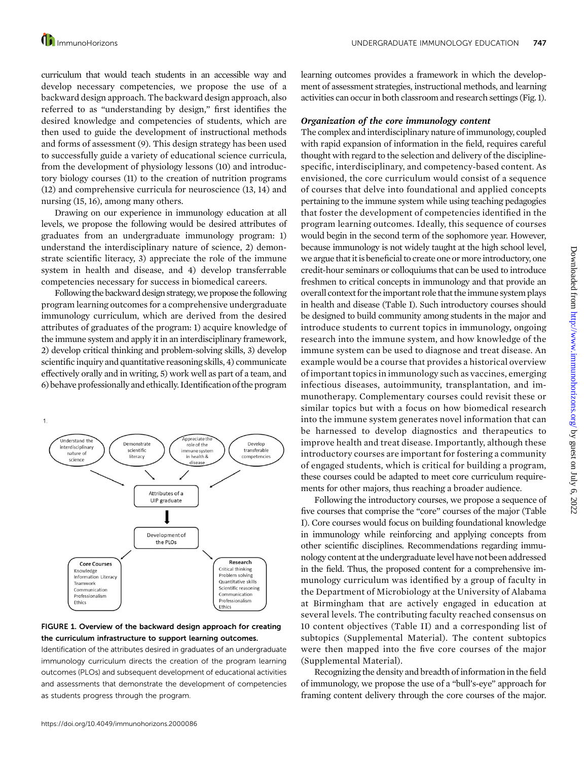curriculum that would teach students in an accessible way and develop necessary competencies, we propose the use of a backward design approach. The backward design approach, also referred to as "understanding by design," first identifies the desired knowledge and competencies of students, which are then used to guide the development of instructional methods and forms of assessment (9). This design strategy has been used to successfully guide a variety of educational science curricula, from the development of physiology lessons (10) and introductory biology courses (11) to the creation of nutrition programs (12) and comprehensive curricula for neuroscience (13, 14) and nursing (15, 16), among many others.

Drawing on our experience in immunology education at all levels, we propose the following would be desired attributes of graduates from an undergraduate immunology program: 1) understand the interdisciplinary nature of science, 2) demonstrate scientific literacy, 3) appreciate the role of the immune system in health and disease, and 4) develop transferrable competencies necessary for success in biomedical careers.

Following the backward design strategy, we propose the following program learning outcomes for a comprehensive undergraduate immunology curriculum, which are derived from the desired attributes of graduates of the program: 1) acquire knowledge of the immune system and apply it in an interdisciplinary framework, 2) develop critical thinking and problem-solving skills, 3) develop scientific inquiry and quantitative reasoning skills, 4) communicate effectively orally and in writing, 5) work well as part of a team, and 6) behave professionally and ethically. Identification of the program



### FIGURE 1. Overview of the backward design approach for creating the curriculum infrastructure to support learning outcomes.

Identification of the attributes desired in graduates of an undergraduate immunology curriculum directs the creation of the program learning outcomes (PLOs) and subsequent development of educational activities and assessments that demonstrate the development of competencies as students progress through the program.

learning outcomes provides a framework in which the development of assessment strategies, instructional methods, and learning activities can occur in both classroom and research settings (Fig. 1).

### Organization of the core immunology content

The complex and interdisciplinary nature of immunology, coupled with rapid expansion of information in the field, requires careful thought with regard to the selection and delivery of the disciplinespecific, interdisciplinary, and competency-based content. As envisioned, the core curriculum would consist of a sequence of courses that delve into foundational and applied concepts pertaining to the immune system while using teaching pedagogies that foster the development of competencies identified in the program learning outcomes. Ideally, this sequence of courses would begin in the second term of the sophomore year. However, because immunology is not widely taught at the high school level, we argue that it is beneficial to create one or more introductory, one credit-hour seminars or colloquiums that can be used to introduce freshmen to critical concepts in immunology and that provide an overall context for the important role that the immune system plays in health and disease (Table I). Such introductory courses should be designed to build community among students in the major and introduce students to current topics in immunology, ongoing research into the immune system, and how knowledge of the immune system can be used to diagnose and treat disease. An example would be a course that provides a historical overview of important topics in immunology such as vaccines, emerging infectious diseases, autoimmunity, transplantation, and immunotherapy. Complementary courses could revisit these or similar topics but with a focus on how biomedical research into the immune system generates novel information that can be harnessed to develop diagnostics and therapeutics to improve health and treat disease. Importantly, although these introductory courses are important for fostering a community of engaged students, which is critical for building a program, these courses could be adapted to meet core curriculum requirements for other majors, thus reaching a broader audience.

Following the introductory courses, we propose a sequence of five courses that comprise the "core" courses of the major (Table I). Core courses would focus on building foundational knowledge in immunology while reinforcing and applying concepts from other scientific disciplines. Recommendations regarding immunology content at the undergraduate level have not been addressed in the field. Thus, the proposed content for a comprehensive immunology curriculum was identified by a group of faculty in the Department of Microbiology at the University of Alabama at Birmingham that are actively engaged in education at several levels. The contributing faculty reached consensus on 10 content objectives (Table II) and a corresponding list of subtopics ([Supplemental Material\)](http://www.immunohorizons.org/lookup/suppl/doi:10.4049/immunohorizons.2000086/-/DCSupplemental). The content subtopics were then mapped into the five core courses of the major ([Supplemental Material\)](http://www.immunohorizons.org/lookup/suppl/doi:10.4049/immunohorizons.2000086/-/DCSupplemental).

Recognizing the density and breadth of information in the field of immunology, we propose the use of a "bull's-eye" approach for framing content delivery through the core courses of the major.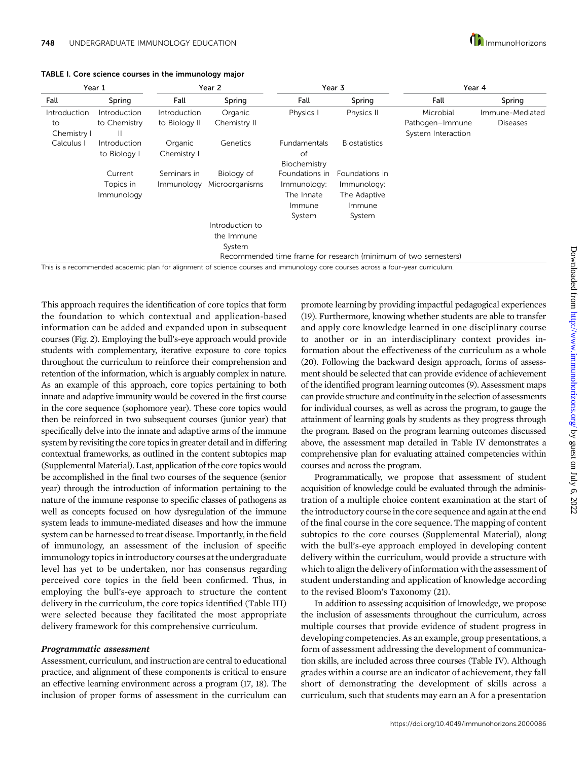

| Year 1       |              | Year 2        |                 |                     | Year 3               | Year 4                                                         |                 |  |
|--------------|--------------|---------------|-----------------|---------------------|----------------------|----------------------------------------------------------------|-----------------|--|
| Fall         | Spring       | Fall          | Spring          | Fall                | Spring               | Fall                                                           | Spring          |  |
| Introduction | Introduction | Introduction  | Organic         | Physics I           | Physics II           | Microbial                                                      | Immune-Mediated |  |
| to           | to Chemistry | to Biology II | Chemistry II    |                     |                      | Pathogen-Immune                                                | <b>Diseases</b> |  |
| Chemistry I  | H            |               |                 |                     |                      | System Interaction                                             |                 |  |
| Calculus     | Introduction | Organic       | Genetics        | <b>Fundamentals</b> | <b>Biostatistics</b> |                                                                |                 |  |
|              | to Biology I | Chemistry I   |                 | of                  |                      |                                                                |                 |  |
|              |              |               |                 | Biochemistry        |                      |                                                                |                 |  |
|              | Current      | Seminars in   | Biology of      | Foundations in      | Foundations in       |                                                                |                 |  |
|              | Topics in    | Immunology    | Microorganisms  | Immunology:         | Immunology:          |                                                                |                 |  |
|              | Immunology   |               |                 | The Innate          | The Adaptive         |                                                                |                 |  |
|              |              |               |                 | Immune              | Immune               |                                                                |                 |  |
|              |              |               |                 | System              | System               |                                                                |                 |  |
|              |              |               | Introduction to |                     |                      |                                                                |                 |  |
|              |              |               | the Immune      |                     |                      |                                                                |                 |  |
|              |              |               | System          |                     |                      |                                                                |                 |  |
|              |              |               |                 |                     |                      | Recommended time frame for research (minimum of two semesters) |                 |  |

TABLE I. Core science courses in the immunology major

This is a recommended academic plan for alignment of science courses and immunology core courses across a four-year curriculum.

This approach requires the identification of core topics that form the foundation to which contextual and application-based information can be added and expanded upon in subsequent courses (Fig. 2). Employing the bull's-eye approach would provide students with complementary, iterative exposure to core topics throughout the curriculum to reinforce their comprehension and retention of the information, which is arguably complex in nature. As an example of this approach, core topics pertaining to both innate and adaptive immunity would be covered in the first course in the core sequence (sophomore year). These core topics would then be reinforced in two subsequent courses (junior year) that specifically delve into the innate and adaptive arms of the immune system by revisiting the core topics in greater detail and in differing contextual frameworks, as outlined in the content subtopics map [\(Supplemental Material\)](http://www.immunohorizons.org/lookup/suppl/doi:10.4049/immunohorizons.2000086/-/DCSupplemental). Last, application of the core topics would be accomplished in the final two courses of the sequence (senior year) through the introduction of information pertaining to the nature of the immune response to specific classes of pathogens as well as concepts focused on how dysregulation of the immune system leads to immune-mediated diseases and how the immune system can be harnessed to treat disease. Importantly, in the field of immunology, an assessment of the inclusion of specific immunology topics in introductory courses at the undergraduate level has yet to be undertaken, nor has consensus regarding perceived core topics in the field been confirmed. Thus, in employing the bull's-eye approach to structure the content delivery in the curriculum, the core topics identified (Table III) were selected because they facilitated the most appropriate delivery framework for this comprehensive curriculum.

### Programmatic assessment

Assessment, curriculum, and instruction are central to educational practice, and alignment of these components is critical to ensure an effective learning environment across a program (17, 18). The inclusion of proper forms of assessment in the curriculum can promote learning by providing impactful pedagogical experiences (19). Furthermore, knowing whether students are able to transfer and apply core knowledge learned in one disciplinary course to another or in an interdisciplinary context provides information about the effectiveness of the curriculum as a whole (20). Following the backward design approach, forms of assessment should be selected that can provide evidence of achievement of the identified program learning outcomes (9). Assessment maps can provide structure and continuity in the selection of assessments for individual courses, as well as across the program, to gauge the attainment of learning goals by students as they progress through the program. Based on the program learning outcomes discussed above, the assessment map detailed in Table IV demonstrates a comprehensive plan for evaluating attained competencies within courses and across the program.

Programmatically, we propose that assessment of student acquisition of knowledge could be evaluated through the administration of a multiple choice content examination at the start of the introductory course in the core sequence and again at the end of the final course in the core sequence. The mapping of content subtopics to the core courses [\(Supplemental Material\)](http://www.immunohorizons.org/lookup/suppl/doi:10.4049/immunohorizons.2000086/-/DCSupplemental), along with the bull's-eye approach employed in developing content delivery within the curriculum, would provide a structure with which to align the delivery of information with the assessment of student understanding and application of knowledge according to the revised Bloom's Taxonomy (21).

In addition to assessing acquisition of knowledge, we propose the inclusion of assessments throughout the curriculum, across multiple courses that provide evidence of student progress in developing competencies. As an example, group presentations, a form of assessment addressing the development of communication skills, are included across three courses (Table IV). Although grades within a course are an indicator of achievement, they fall short of demonstrating the development of skills across a curriculum, such that students may earn an A for a presentation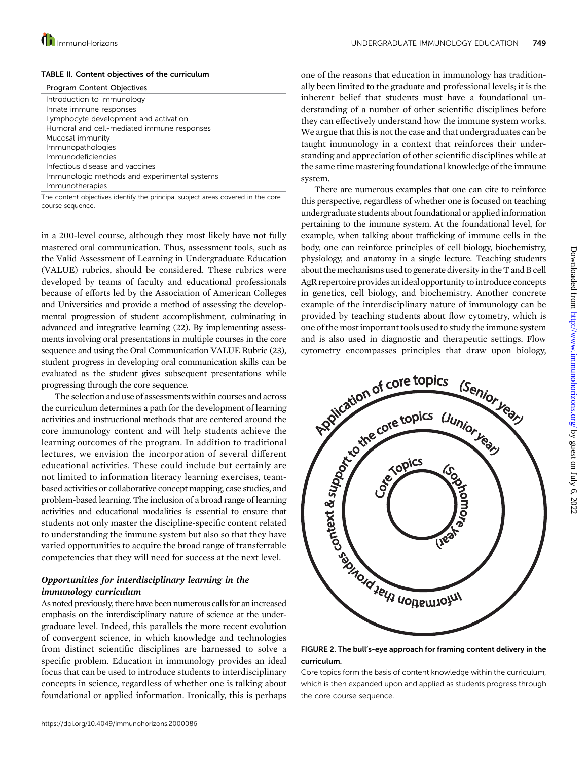

### **ID** ImmunoHorizons **TABLE 1000 CONTROLS TO A SET A SET A SET A SET A UNDERGRADUATE IMMUNOLOGY EDUCATION 749**

### TABLE II. Content objectives of the curriculum

| <b>Program Content Objectives</b>            |
|----------------------------------------------|
| Introduction to immunology                   |
| Innate immune responses                      |
| Lymphocyte development and activation        |
| Humoral and cell-mediated immune responses   |
| Mucosal immunity                             |
| Immunopathologies                            |
| Immunodeficiencies                           |
| Infectious disease and vaccines              |
| Immunologic methods and experimental systems |
| Immunotherapies                              |
|                                              |

The content objectives identify the principal subject areas covered in the core course sequence.

in a 200-level course, although they most likely have not fully mastered oral communication. Thus, assessment tools, such as the Valid Assessment of Learning in Undergraduate Education (VALUE) rubrics, should be considered. These rubrics were developed by teams of faculty and educational professionals because of efforts led by the Association of American Colleges and Universities and provide a method of assessing the developmental progression of student accomplishment, culminating in advanced and integrative learning (22). By implementing assessments involving oral presentations in multiple courses in the core sequence and using the Oral Communication VALUE Rubric (23), student progress in developing oral communication skills can be evaluated as the student gives subsequent presentations while progressing through the core sequence.

The selection and use of assessments within courses and across the curriculum determines a path for the development of learning activities and instructional methods that are centered around the core immunology content and will help students achieve the learning outcomes of the program. In addition to traditional lectures, we envision the incorporation of several different educational activities. These could include but certainly are not limited to information literacy learning exercises, teambased activities or collaborative concept mapping, case studies, and problem-based learning. The inclusion of a broad range of learning activities and educational modalities is essential to ensure that students not only master the discipline-specific content related to understanding the immune system but also so that they have varied opportunities to acquire the broad range of transferrable competencies that they will need for success at the next level.

### Opportunities for interdisciplinary learning in the immunology curriculum

As noted previously, there have been numerous calls for an increased emphasis on the interdisciplinary nature of science at the undergraduate level. Indeed, this parallels the more recent evolution of convergent science, in which knowledge and technologies from distinct scientific disciplines are harnessed to solve a specific problem. Education in immunology provides an ideal focus that can be used to introduce students to interdisciplinary concepts in science, regardless of whether one is talking about foundational or applied information. Ironically, this is perhaps

one of the reasons that education in immunology has traditionally been limited to the graduate and professional levels; it is the inherent belief that students must have a foundational understanding of a number of other scientific disciplines before they can effectively understand how the immune system works. We argue that this is not the case and that undergraduates can be taught immunology in a context that reinforces their understanding and appreciation of other scientific disciplines while at the same time mastering foundational knowledge of the immune system.

There are numerous examples that one can cite to reinforce this perspective, regardless of whether one is focused on teaching undergraduate students about foundational or appliedinformation pertaining to the immune system. At the foundational level, for example, when talking about trafficking of immune cells in the body, one can reinforce principles of cell biology, biochemistry, physiology, and anatomy in a single lecture. Teaching students about the mechanisms used to generate diversity in the T and B cell AgR repertoire provides anideal opportunity to introduce concepts in genetics, cell biology, and biochemistry. Another concrete example of the interdisciplinary nature of immunology can be provided by teaching students about flow cytometry, which is one of the most important tools used to study the immune system and is also used in diagnostic and therapeutic settings. Flow



curriculum.

Core topics form the basis of content knowledge within the curriculum, which is then expanded upon and applied as students progress through the core course sequence.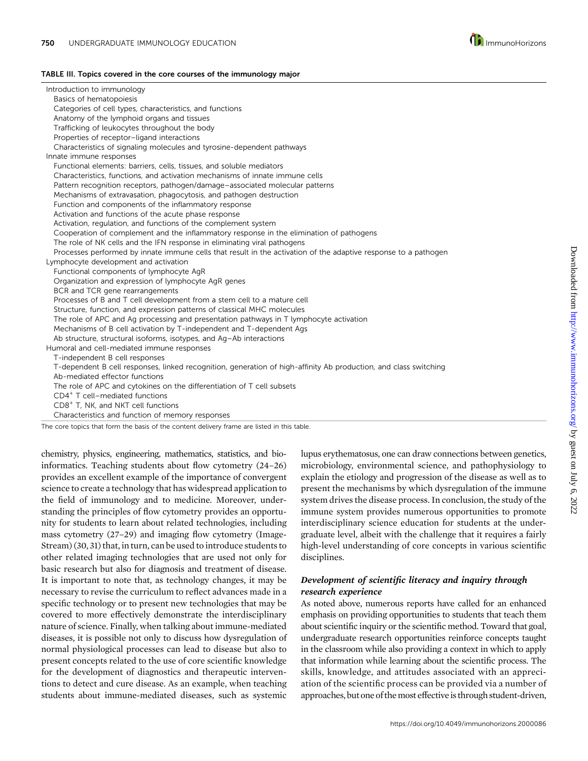

### TABLE III. Topics covered in the core courses of the immunology major

| Introduction to immunology                                                                                       |
|------------------------------------------------------------------------------------------------------------------|
| Basics of hematopoiesis                                                                                          |
| Categories of cell types, characteristics, and functions                                                         |
| Anatomy of the lymphoid organs and tissues                                                                       |
| Trafficking of leukocytes throughout the body                                                                    |
| Properties of receptor-ligand interactions                                                                       |
| Characteristics of signaling molecules and tyrosine-dependent pathways                                           |
| Innate immune responses                                                                                          |
| Functional elements: barriers, cells, tissues, and soluble mediators                                             |
| Characteristics, functions, and activation mechanisms of innate immune cells                                     |
| Pattern recognition receptors, pathogen/damage-associated molecular patterns                                     |
| Mechanisms of extravasation, phagocytosis, and pathogen destruction                                              |
| Function and components of the inflammatory response                                                             |
| Activation and functions of the acute phase response                                                             |
| Activation, regulation, and functions of the complement system                                                   |
| Cooperation of complement and the inflammatory response in the elimination of pathogens                          |
| The role of NK cells and the IFN response in eliminating viral pathogens                                         |
| Processes performed by innate immune cells that result in the activation of the adaptive response to a pathogen  |
| Lymphocyte development and activation                                                                            |
| Functional components of lymphocyte AgR                                                                          |
| Organization and expression of lymphocyte AgR genes                                                              |
| BCR and TCR gene rearrangements                                                                                  |
| Processes of B and T cell development from a stem cell to a mature cell                                          |
| Structure, function, and expression patterns of classical MHC molecules                                          |
| The role of APC and Ag processing and presentation pathways in T lymphocyte activation                           |
| Mechanisms of B cell activation by T-independent and T-dependent Ags                                             |
| Ab structure, structural isoforms, isotypes, and Aq-Ab interactions                                              |
| Humoral and cell-mediated immune responses                                                                       |
| T-independent B cell responses                                                                                   |
| T-dependent B cell responses, linked recognition, generation of high-affinity Ab production, and class switching |
| Ab-mediated effector functions                                                                                   |
| The role of APC and cytokines on the differentiation of T cell subsets                                           |
| CD4 <sup>+</sup> T cell-mediated functions                                                                       |
| CD8 <sup>+</sup> T, NK, and NKT cell functions                                                                   |
| Characteristics and function of memory responses                                                                 |
| The core topics that form the basis of the content delivery frame are listed in this table.                      |

chemistry, physics, engineering, mathematics, statistics, and bioinformatics. Teaching students about flow cytometry (24–26) provides an excellent example of the importance of convergent science to create a technology that has widespread application to the field of immunology and to medicine. Moreover, understanding the principles of flow cytometry provides an opportunity for students to learn about related technologies, including mass cytometry (27–29) and imaging flow cytometry (Image-Stream) (30, 31) that, in turn, can be used to introduce students to other related imaging technologies that are used not only for basic research but also for diagnosis and treatment of disease. It is important to note that, as technology changes, it may be necessary to revise the curriculum to reflect advances made in a specific technology or to present new technologies that may be covered to more effectively demonstrate the interdisciplinary nature of science. Finally, when talking about immune-mediated diseases, it is possible not only to discuss how dysregulation of normal physiological processes can lead to disease but also to present concepts related to the use of core scientific knowledge for the development of diagnostics and therapeutic interventions to detect and cure disease. As an example, when teaching students about immune-mediated diseases, such as systemic

lupus erythematosus, one can draw connections between genetics, microbiology, environmental science, and pathophysiology to explain the etiology and progression of the disease as well as to present the mechanisms by which dysregulation of the immune system drives the disease process. In conclusion, the study of the immune system provides numerous opportunities to promote interdisciplinary science education for students at the undergraduate level, albeit with the challenge that it requires a fairly high-level understanding of core concepts in various scientific disciplines.

### Development of scientific literacy and inquiry through research experience

As noted above, numerous reports have called for an enhanced emphasis on providing opportunities to students that teach them about scientific inquiry or the scientific method. Toward that goal, undergraduate research opportunities reinforce concepts taught in the classroom while also providing a context in which to apply that information while learning about the scientific process. The skills, knowledge, and attitudes associated with an appreciation of the scientific process can be provided via a number of approaches, but one of the most effective is through student-driven,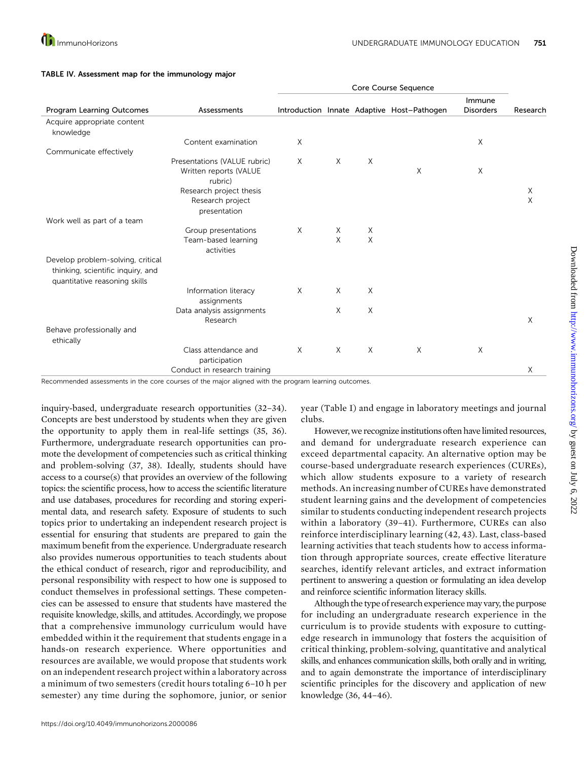|                                                                                                         |                                                        | Core Course Sequence |   |        |                                            |                            |          |
|---------------------------------------------------------------------------------------------------------|--------------------------------------------------------|----------------------|---|--------|--------------------------------------------|----------------------------|----------|
| Program Learning Outcomes                                                                               | Assessments                                            |                      |   |        | Introduction Innate Adaptive Host-Pathogen | Immune<br><b>Disorders</b> | Research |
| Acquire appropriate content                                                                             |                                                        |                      |   |        |                                            |                            |          |
| knowledge                                                                                               |                                                        |                      |   |        |                                            |                            |          |
|                                                                                                         | Content examination                                    | X                    |   |        |                                            | $\times$                   |          |
| Communicate effectively                                                                                 |                                                        |                      |   |        |                                            |                            |          |
|                                                                                                         | Presentations (VALUE rubric)<br>Written reports (VALUE | $\times$             | X | $\chi$ | X                                          | X                          |          |
|                                                                                                         | rubric)                                                |                      |   |        |                                            |                            |          |
|                                                                                                         | Research project thesis<br>Research project            |                      |   |        |                                            |                            | Χ<br>X   |
|                                                                                                         | presentation                                           |                      |   |        |                                            |                            |          |
| Work well as part of a team                                                                             |                                                        |                      |   |        |                                            |                            |          |
|                                                                                                         | Group presentations                                    | X                    | X | Χ      |                                            |                            |          |
|                                                                                                         | Team-based learning<br>activities                      |                      | X | X      |                                            |                            |          |
| Develop problem-solving, critical<br>thinking, scientific inquiry, and<br>quantitative reasoning skills |                                                        |                      |   |        |                                            |                            |          |
|                                                                                                         | Information literacy                                   | $\chi$               | X | X      |                                            |                            |          |
|                                                                                                         | assignments                                            |                      |   |        |                                            |                            |          |
|                                                                                                         | Data analysis assignments<br>Research                  |                      | X | X      |                                            |                            | X        |
| Behave professionally and<br>ethically                                                                  |                                                        |                      |   |        |                                            |                            |          |
|                                                                                                         | Class attendance and                                   | X                    | X | X      | X                                          | X                          |          |
|                                                                                                         | participation                                          |                      |   |        |                                            |                            |          |
|                                                                                                         | Conduct in research training                           |                      |   |        |                                            |                            | X        |

### TABLE IV. Assessment map for the immunology major

Recommended assessments in the core courses of the major aligned with the program learning outcomes.

inquiry-based, undergraduate research opportunities (32–34). Concepts are best understood by students when they are given the opportunity to apply them in real-life settings (35, 36). Furthermore, undergraduate research opportunities can promote the development of competencies such as critical thinking and problem-solving (37, 38). Ideally, students should have access to a course(s) that provides an overview of the following topics: the scientific process, how to access the scientific literature and use databases, procedures for recording and storing experimental data, and research safety. Exposure of students to such topics prior to undertaking an independent research project is essential for ensuring that students are prepared to gain the maximum benefit from the experience. Undergraduate research also provides numerous opportunities to teach students about the ethical conduct of research, rigor and reproducibility, and personal responsibility with respect to how one is supposed to conduct themselves in professional settings. These competencies can be assessed to ensure that students have mastered the requisite knowledge, skills, and attitudes. Accordingly, we propose that a comprehensive immunology curriculum would have embedded within it the requirement that students engage in a hands-on research experience. Where opportunities and resources are available, we would propose that students work on an independent research project within a laboratory across a minimum of two semesters (credit hours totaling 6–10 h per semester) any time during the sophomore, junior, or senior

year (Table I) and engage in laboratory meetings and journal clubs.

However, we recognize institutions often have limited resources, and demand for undergraduate research experience can exceed departmental capacity. An alternative option may be course-based undergraduate research experiences (CUREs), which allow students exposure to a variety of research methods. An increasing number of CUREs have demonstrated student learning gains and the development of competencies similar to students conducting independent research projects within a laboratory (39–41). Furthermore, CUREs can also reinforce interdisciplinary learning (42, 43). Last, class-based learning activities that teach students how to access information through appropriate sources, create effective literature searches, identify relevant articles, and extract information pertinent to answering a question or formulating an idea develop and reinforce scientific information literacy skills.

Although the type of research experiencemay vary, the purpose for including an undergraduate research experience in the curriculum is to provide students with exposure to cuttingedge research in immunology that fosters the acquisition of critical thinking, problem-solving, quantitative and analytical skills, and enhances communication skills, both orally and in writing, and to again demonstrate the importance of interdisciplinary scientific principles for the discovery and application of new knowledge (36, 44–46).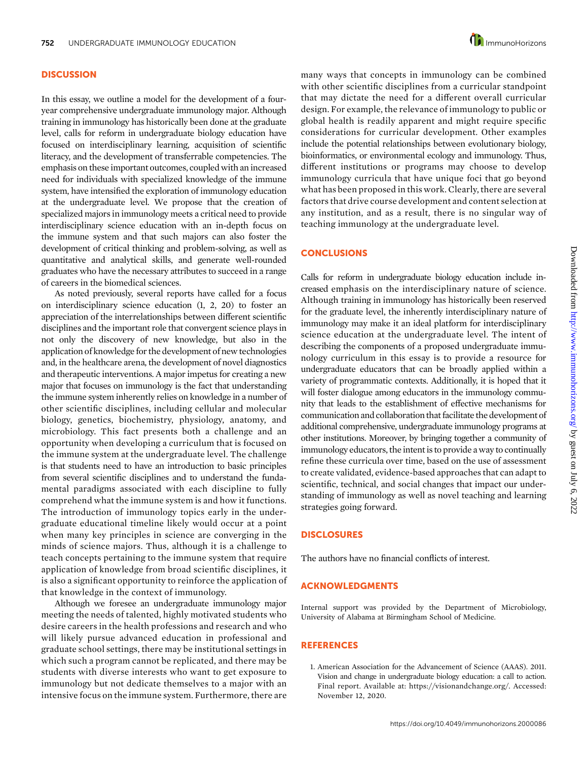### **DISCUSSION**

In this essay, we outline a model for the development of a fouryear comprehensive undergraduate immunology major. Although training in immunology has historically been done at the graduate level, calls for reform in undergraduate biology education have focused on interdisciplinary learning, acquisition of scientific literacy, and the development of transferrable competencies. The emphasis on these important outcomes, coupled with an increased need for individuals with specialized knowledge of the immune system, have intensified the exploration of immunology education at the undergraduate level. We propose that the creation of specialized majors in immunology meets a critical need to provide interdisciplinary science education with an in-depth focus on the immune system and that such majors can also foster the development of critical thinking and problem-solving, as well as quantitative and analytical skills, and generate well-rounded graduates who have the necessary attributes to succeed in a range of careers in the biomedical sciences.

As noted previously, several reports have called for a focus on interdisciplinary science education (1, 2, 20) to foster an appreciation of the interrelationships between different scientific disciplines and the important role that convergent science plays in not only the discovery of new knowledge, but also in the application of knowledge for the development of new technologies and, in the healthcare arena, the development of novel diagnostics and therapeutic interventions. A major impetus for creating a new major that focuses on immunology is the fact that understanding the immune system inherently relies on knowledge in a number of other scientific disciplines, including cellular and molecular biology, genetics, biochemistry, physiology, anatomy, and microbiology. This fact presents both a challenge and an opportunity when developing a curriculum that is focused on the immune system at the undergraduate level. The challenge is that students need to have an introduction to basic principles from several scientific disciplines and to understand the fundamental paradigms associated with each discipline to fully comprehend what the immune system is and how it functions. The introduction of immunology topics early in the undergraduate educational timeline likely would occur at a point when many key principles in science are converging in the minds of science majors. Thus, although it is a challenge to teach concepts pertaining to the immune system that require application of knowledge from broad scientific disciplines, it is also a significant opportunity to reinforce the application of that knowledge in the context of immunology.

Although we foresee an undergraduate immunology major meeting the needs of talented, highly motivated students who desire careers in the health professions and research and who will likely pursue advanced education in professional and graduate school settings, there may be institutional settings in which such a program cannot be replicated, and there may be students with diverse interests who want to get exposure to immunology but not dedicate themselves to a major with an intensive focus on the immune system. Furthermore, there are many ways that concepts in immunology can be combined with other scientific disciplines from a curricular standpoint that may dictate the need for a different overall curricular design. For example, the relevance of immunology to public or global health is readily apparent and might require specific considerations for curricular development. Other examples include the potential relationships between evolutionary biology, bioinformatics, or environmental ecology and immunology. Thus, different institutions or programs may choose to develop immunology curricula that have unique foci that go beyond what has been proposed in this work. Clearly, there are several factors that drive course development and content selection at any institution, and as a result, there is no singular way of teaching immunology at the undergraduate level.

### **CONCLUSIONS**

Calls for reform in undergraduate biology education include increased emphasis on the interdisciplinary nature of science. Although training in immunology has historically been reserved for the graduate level, the inherently interdisciplinary nature of immunology may make it an ideal platform for interdisciplinary science education at the undergraduate level. The intent of describing the components of a proposed undergraduate immunology curriculum in this essay is to provide a resource for undergraduate educators that can be broadly applied within a variety of programmatic contexts. Additionally, it is hoped that it will foster dialogue among educators in the immunology community that leads to the establishment of effective mechanisms for communication and collaboration that facilitate the development of additional comprehensive, undergraduate immunology programs at other institutions. Moreover, by bringing together a community of immunology educators, the intent is to provide a way to continually refine these curricula over time, based on the use of assessment to create validated, evidence-based approaches that can adapt to scientific, technical, and social changes that impact our understanding of immunology as well as novel teaching and learning strategies going forward.

### DISCLOSURES

The authors have no financial conflicts of interest.

#### ACKNOWLEDGMENTS

Internal support was provided by the Department of Microbiology, University of Alabama at Birmingham School of Medicine.

### **REFERENCES**

1. American Association for the Advancement of Science (AAAS). 2011. Vision and change in undergraduate biology education: a call to action. Final report. Available at: [https://visionandchange.org/.](https://visionandchange.org/) Accessed: November 12, 2020.